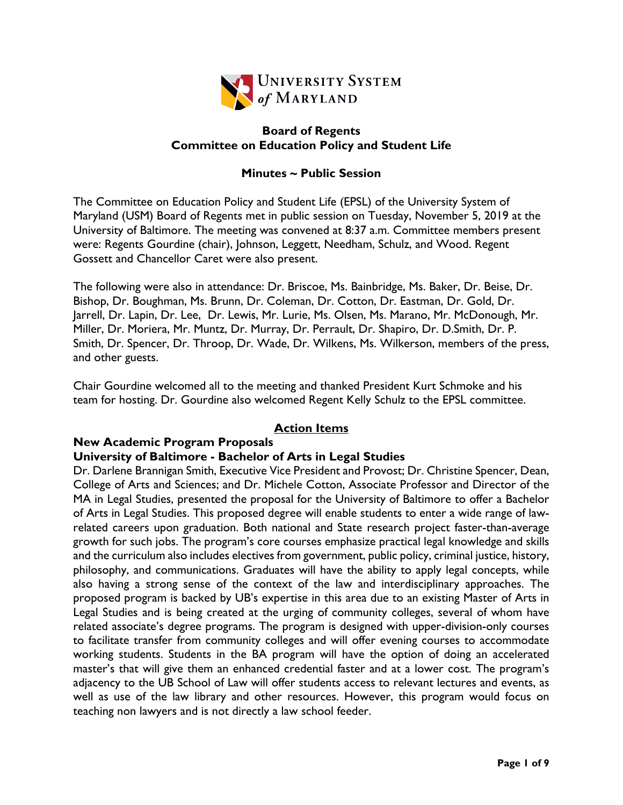

# **Board of Regents Committee on Education Policy and Student Life**

# **Minutes ~ Public Session**

The Committee on Education Policy and Student Life (EPSL) of the University System of Maryland (USM) Board of Regents met in public session on Tuesday, November 5, 2019 at the University of Baltimore. The meeting was convened at 8:37 a.m. Committee members present were: Regents Gourdine (chair), Johnson, Leggett, Needham, Schulz, and Wood. Regent Gossett and Chancellor Caret were also present.

The following were also in attendance: Dr. Briscoe, Ms. Bainbridge, Ms. Baker, Dr. Beise, Dr. Bishop, Dr. Boughman, Ms. Brunn, Dr. Coleman, Dr. Cotton, Dr. Eastman, Dr. Gold, Dr. Jarrell, Dr. Lapin, Dr. Lee, Dr. Lewis, Mr. Lurie, Ms. Olsen, Ms. Marano, Mr. McDonough, Mr. Miller, Dr. Moriera, Mr. Muntz, Dr. Murray, Dr. Perrault, Dr. Shapiro, Dr. D.Smith, Dr. P. Smith, Dr. Spencer, Dr. Throop, Dr. Wade, Dr. Wilkens, Ms. Wilkerson, members of the press, and other guests.

Chair Gourdine welcomed all to the meeting and thanked President Kurt Schmoke and his team for hosting. Dr. Gourdine also welcomed Regent Kelly Schulz to the EPSL committee.

## **Action Items**

## **New Academic Program Proposals**

## **University of Baltimore - Bachelor of Arts in Legal Studies**

Dr. Darlene Brannigan Smith, Executive Vice President and Provost; Dr. Christine Spencer, Dean, College of Arts and Sciences; and Dr. Michele Cotton, Associate Professor and Director of the MA in Legal Studies, presented the proposal for the University of Baltimore to offer a Bachelor of Arts in Legal Studies. This proposed degree will enable students to enter a wide range of lawrelated careers upon graduation. Both national and State research project faster-than-average growth for such jobs. The program's core courses emphasize practical legal knowledge and skills and the curriculum also includes electives from government, public policy, criminal justice, history, philosophy, and communications. Graduates will have the ability to apply legal concepts, while also having a strong sense of the context of the law and interdisciplinary approaches. The proposed program is backed by UB's expertise in this area due to an existing Master of Arts in Legal Studies and is being created at the urging of community colleges, several of whom have related associate's degree programs. The program is designed with upper-division-only courses to facilitate transfer from community colleges and will offer evening courses to accommodate working students. Students in the BA program will have the option of doing an accelerated master's that will give them an enhanced credential faster and at a lower cost. The program's adjacency to the UB School of Law will offer students access to relevant lectures and events, as well as use of the law library and other resources. However, this program would focus on teaching non lawyers and is not directly a law school feeder.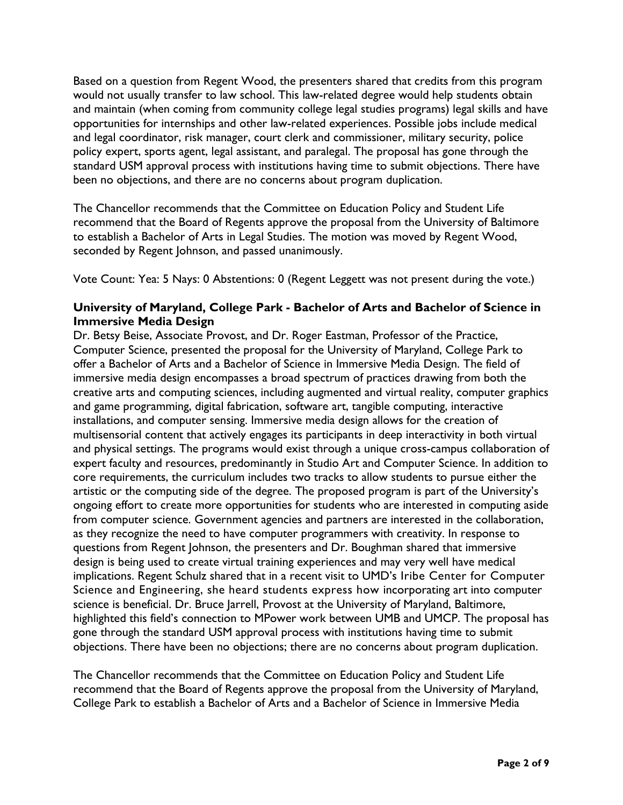Based on a question from Regent Wood, the presenters shared that credits from this program would not usually transfer to law school. This law-related degree would help students obtain and maintain (when coming from community college legal studies programs) legal skills and have opportunities for internships and other law-related experiences. Possible jobs include medical and legal coordinator, risk manager, court clerk and commissioner, military security, police policy expert, sports agent, legal assistant, and paralegal. The proposal has gone through the standard USM approval process with institutions having time to submit objections. There have been no objections, and there are no concerns about program duplication.

The Chancellor recommends that the Committee on Education Policy and Student Life recommend that the Board of Regents approve the proposal from the University of Baltimore to establish a Bachelor of Arts in Legal Studies. The motion was moved by Regent Wood, seconded by Regent Johnson, and passed unanimously.

Vote Count: Yea: 5 Nays: 0 Abstentions: 0 (Regent Leggett was not present during the vote.)

# **University of Maryland, College Park - Bachelor of Arts and Bachelor of Science in Immersive Media Design**

Dr. Betsy Beise, Associate Provost, and Dr. Roger Eastman, Professor of the Practice, Computer Science, presented the proposal for the University of Maryland, College Park to offer a Bachelor of Arts and a Bachelor of Science in Immersive Media Design. The field of immersive media design encompasses a broad spectrum of practices drawing from both the creative arts and computing sciences, including augmented and virtual reality, computer graphics and game programming, digital fabrication, software art, tangible computing, interactive installations, and computer sensing. Immersive media design allows for the creation of multisensorial content that actively engages its participants in deep interactivity in both virtual and physical settings. The programs would exist through a unique cross-campus collaboration of expert faculty and resources, predominantly in Studio Art and Computer Science. In addition to core requirements, the curriculum includes two tracks to allow students to pursue either the artistic or the computing side of the degree. The proposed program is part of the University's ongoing effort to create more opportunities for students who are interested in computing aside from computer science. Government agencies and partners are interested in the collaboration, as they recognize the need to have computer programmers with creativity. In response to questions from Regent Johnson, the presenters and Dr. Boughman shared that immersive design is being used to create virtual training experiences and may very well have medical implications. Regent Schulz shared that in a recent visit to UMD's Iribe Center for Computer Science and Engineering, she heard students express how incorporating art into computer science is beneficial. Dr. Bruce Jarrell, Provost at the University of Maryland, Baltimore, highlighted this field's connection to MPower work between UMB and UMCP. The proposal has gone through the standard USM approval process with institutions having time to submit objections. There have been no objections; there are no concerns about program duplication.

The Chancellor recommends that the Committee on Education Policy and Student Life recommend that the Board of Regents approve the proposal from the University of Maryland, College Park to establish a Bachelor of Arts and a Bachelor of Science in Immersive Media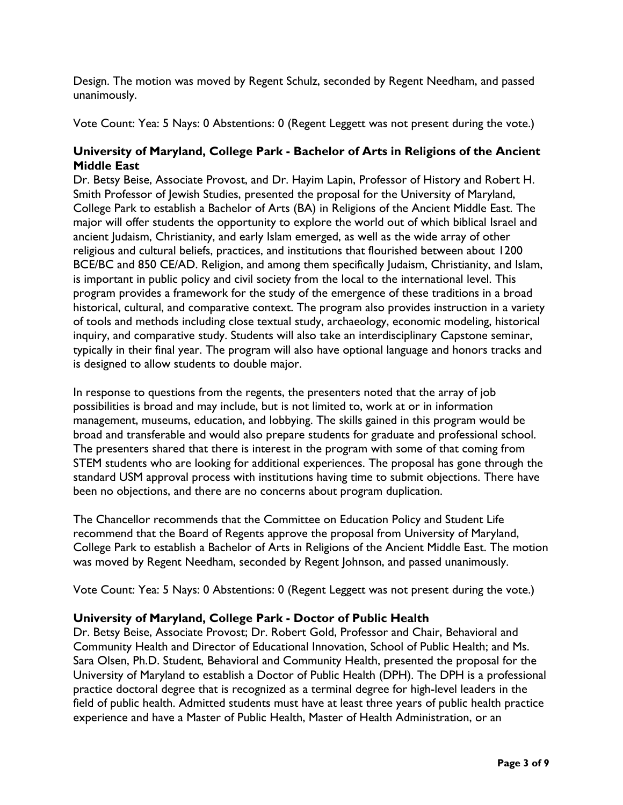Design. The motion was moved by Regent Schulz, seconded by Regent Needham, and passed unanimously.

Vote Count: Yea: 5 Nays: 0 Abstentions: 0 (Regent Leggett was not present during the vote.)

# **University of Maryland, College Park - Bachelor of Arts in Religions of the Ancient Middle East**

Dr. Betsy Beise, Associate Provost, and Dr. Hayim Lapin, Professor of History and Robert H. Smith Professor of Jewish Studies, presented the proposal for the University of Maryland, College Park to establish a Bachelor of Arts (BA) in Religions of the Ancient Middle East. The major will offer students the opportunity to explore the world out of which biblical Israel and ancient Judaism, Christianity, and early Islam emerged, as well as the wide array of other religious and cultural beliefs, practices, and institutions that flourished between about 1200 BCE/BC and 850 CE/AD. Religion, and among them specifically Judaism, Christianity, and Islam, is important in public policy and civil society from the local to the international level. This program provides a framework for the study of the emergence of these traditions in a broad historical, cultural, and comparative context. The program also provides instruction in a variety of tools and methods including close textual study, archaeology, economic modeling, historical inquiry, and comparative study. Students will also take an interdisciplinary Capstone seminar, typically in their final year. The program will also have optional language and honors tracks and is designed to allow students to double major.

In response to questions from the regents, the presenters noted that the array of job possibilities is broad and may include, but is not limited to, work at or in information management, museums, education, and lobbying. The skills gained in this program would be broad and transferable and would also prepare students for graduate and professional school. The presenters shared that there is interest in the program with some of that coming from STEM students who are looking for additional experiences. The proposal has gone through the standard USM approval process with institutions having time to submit objections. There have been no objections, and there are no concerns about program duplication.

The Chancellor recommends that the Committee on Education Policy and Student Life recommend that the Board of Regents approve the proposal from University of Maryland, College Park to establish a Bachelor of Arts in Religions of the Ancient Middle East. The motion was moved by Regent Needham, seconded by Regent Johnson, and passed unanimously.

Vote Count: Yea: 5 Nays: 0 Abstentions: 0 (Regent Leggett was not present during the vote.)

# **University of Maryland, College Park - Doctor of Public Health**

Dr. Betsy Beise, Associate Provost; Dr. Robert Gold, Professor and Chair, Behavioral and Community Health and Director of Educational Innovation, School of Public Health; and Ms. Sara Olsen, Ph.D. Student, Behavioral and Community Health, presented the proposal for the University of Maryland to establish a Doctor of Public Health (DPH). The DPH is a professional practice doctoral degree that is recognized as a terminal degree for high-level leaders in the field of public health. Admitted students must have at least three years of public health practice experience and have a Master of Public Health, Master of Health Administration, or an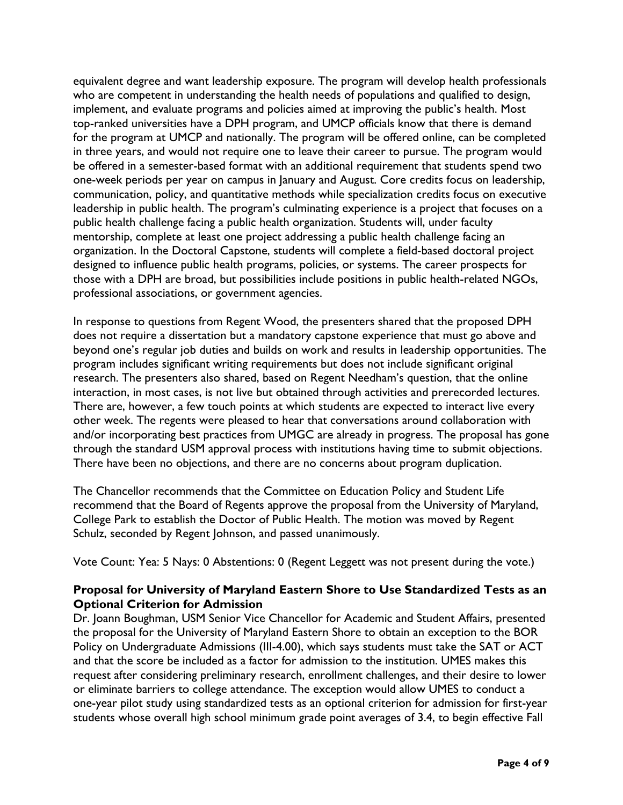equivalent degree and want leadership exposure. The program will develop health professionals who are competent in understanding the health needs of populations and qualified to design, implement, and evaluate programs and policies aimed at improving the public's health. Most top-ranked universities have a DPH program, and UMCP officials know that there is demand for the program at UMCP and nationally. The program will be offered online, can be completed in three years, and would not require one to leave their career to pursue. The program would be offered in a semester-based format with an additional requirement that students spend two one-week periods per year on campus in January and August. Core credits focus on leadership, communication, policy, and quantitative methods while specialization credits focus on executive leadership in public health. The program's culminating experience is a project that focuses on a public health challenge facing a public health organization. Students will, under faculty mentorship, complete at least one project addressing a public health challenge facing an organization. In the Doctoral Capstone, students will complete a field-based doctoral project designed to influence public health programs, policies, or systems. The career prospects for those with a DPH are broad, but possibilities include positions in public health-related NGOs, professional associations, or government agencies.

In response to questions from Regent Wood, the presenters shared that the proposed DPH does not require a dissertation but a mandatory capstone experience that must go above and beyond one's regular job duties and builds on work and results in leadership opportunities. The program includes significant writing requirements but does not include significant original research. The presenters also shared, based on Regent Needham's question, that the online interaction, in most cases, is not live but obtained through activities and prerecorded lectures. There are, however, a few touch points at which students are expected to interact live every other week. The regents were pleased to hear that conversations around collaboration with and/or incorporating best practices from UMGC are already in progress. The proposal has gone through the standard USM approval process with institutions having time to submit objections. There have been no objections, and there are no concerns about program duplication.

The Chancellor recommends that the Committee on Education Policy and Student Life recommend that the Board of Regents approve the proposal from the University of Maryland, College Park to establish the Doctor of Public Health. The motion was moved by Regent Schulz, seconded by Regent Johnson, and passed unanimously.

Vote Count: Yea: 5 Nays: 0 Abstentions: 0 (Regent Leggett was not present during the vote.)

## **Proposal for University of Maryland Eastern Shore to Use Standardized Tests as an Optional Criterion for Admission**

Dr. Joann Boughman, USM Senior Vice Chancellor for Academic and Student Affairs, presented the proposal for the University of Maryland Eastern Shore to obtain an exception to the BOR Policy on Undergraduate Admissions (III-4.00), which says students must take the SAT or ACT and that the score be included as a factor for admission to the institution. UMES makes this request after considering preliminary research, enrollment challenges, and their desire to lower or eliminate barriers to college attendance. The exception would allow UMES to conduct a one-year pilot study using standardized tests as an optional criterion for admission for first-year students whose overall high school minimum grade point averages of 3.4, to begin effective Fall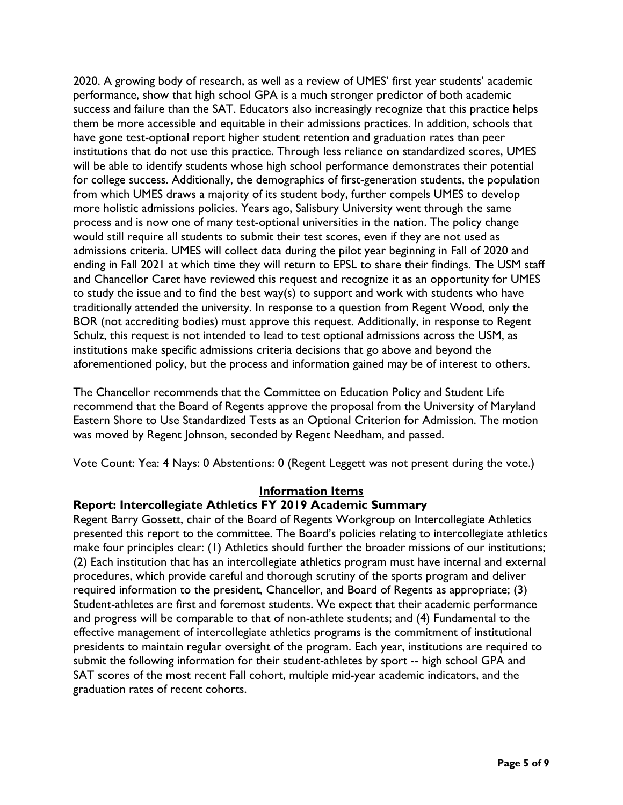2020. A growing body of research, as well as a review of UMES' first year students' academic performance, show that high school GPA is a much stronger predictor of both academic success and failure than the SAT. Educators also increasingly recognize that this practice helps them be more accessible and equitable in their admissions practices. In addition, schools that have gone test-optional report higher student retention and graduation rates than peer institutions that do not use this practice. Through less reliance on standardized scores, UMES will be able to identify students whose high school performance demonstrates their potential for college success. Additionally, the demographics of first-generation students, the population from which UMES draws a majority of its student body, further compels UMES to develop more holistic admissions policies. Years ago, Salisbury University went through the same process and is now one of many test-optional universities in the nation. The policy change would still require all students to submit their test scores, even if they are not used as admissions criteria. UMES will collect data during the pilot year beginning in Fall of 2020 and ending in Fall 2021 at which time they will return to EPSL to share their findings. The USM staff and Chancellor Caret have reviewed this request and recognize it as an opportunity for UMES to study the issue and to find the best way(s) to support and work with students who have traditionally attended the university. In response to a question from Regent Wood, only the BOR (not accrediting bodies) must approve this request. Additionally, in response to Regent Schulz, this request is not intended to lead to test optional admissions across the USM, as institutions make specific admissions criteria decisions that go above and beyond the aforementioned policy, but the process and information gained may be of interest to others.

The Chancellor recommends that the Committee on Education Policy and Student Life recommend that the Board of Regents approve the proposal from the University of Maryland Eastern Shore to Use Standardized Tests as an Optional Criterion for Admission. The motion was moved by Regent Johnson, seconded by Regent Needham, and passed.

Vote Count: Yea: 4 Nays: 0 Abstentions: 0 (Regent Leggett was not present during the vote.)

## **Information Items**

## **Report: Intercollegiate Athletics FY 2019 Academic Summary**

Regent Barry Gossett, chair of the Board of Regents Workgroup on Intercollegiate Athletics presented this report to the committee. The Board's policies relating to intercollegiate athletics make four principles clear: (1) Athletics should further the broader missions of our institutions; (2) Each institution that has an intercollegiate athletics program must have internal and external procedures, which provide careful and thorough scrutiny of the sports program and deliver required information to the president, Chancellor, and Board of Regents as appropriate; (3) Student-athletes are first and foremost students. We expect that their academic performance and progress will be comparable to that of non-athlete students; and (4) Fundamental to the effective management of intercollegiate athletics programs is the commitment of institutional presidents to maintain regular oversight of the program. Each year, institutions are required to submit the following information for their student-athletes by sport -- high school GPA and SAT scores of the most recent Fall cohort, multiple mid-year academic indicators, and the graduation rates of recent cohorts.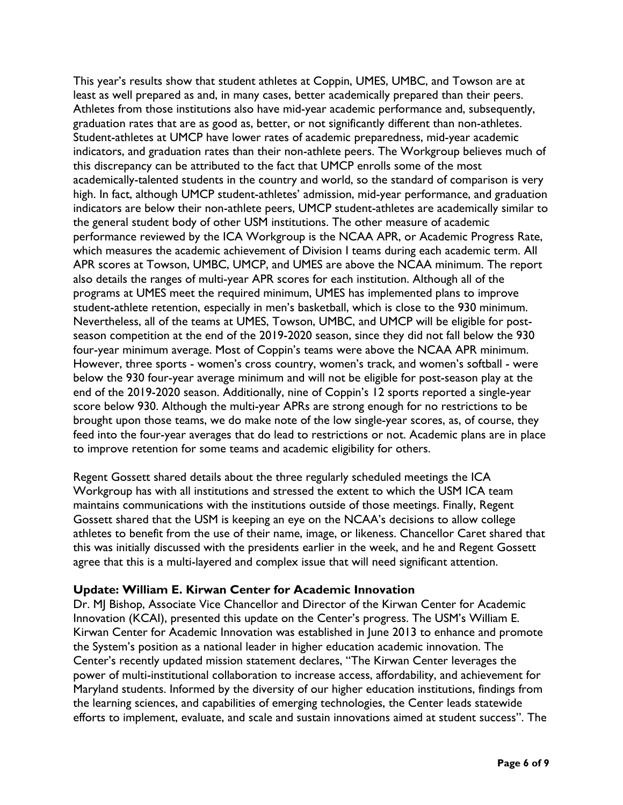This year's results show that student athletes at Coppin, UMES, UMBC, and Towson are at least as well prepared as and, in many cases, better academically prepared than their peers. Athletes from those institutions also have mid-year academic performance and, subsequently, graduation rates that are as good as, better, or not significantly different than non-athletes. Student-athletes at UMCP have lower rates of academic preparedness, mid-year academic indicators, and graduation rates than their non-athlete peers. The Workgroup believes much of this discrepancy can be attributed to the fact that UMCP enrolls some of the most academically-talented students in the country and world, so the standard of comparison is very high. In fact, although UMCP student-athletes' admission, mid-year performance, and graduation indicators are below their non-athlete peers, UMCP student-athletes are academically similar to the general student body of other USM institutions. The other measure of academic performance reviewed by the ICA Workgroup is the NCAA APR, or Academic Progress Rate, which measures the academic achievement of Division I teams during each academic term. All APR scores at Towson, UMBC, UMCP, and UMES are above the NCAA minimum. The report also details the ranges of multi-year APR scores for each institution. Although all of the programs at UMES meet the required minimum, UMES has implemented plans to improve student-athlete retention, especially in men's basketball, which is close to the 930 minimum. Nevertheless, all of the teams at UMES, Towson, UMBC, and UMCP will be eligible for postseason competition at the end of the 2019-2020 season, since they did not fall below the 930 four-year minimum average. Most of Coppin's teams were above the NCAA APR minimum. However, three sports - women's cross country, women's track, and women's softball - were below the 930 four-year average minimum and will not be eligible for post-season play at the end of the 2019-2020 season. Additionally, nine of Coppin's 12 sports reported a single-year score below 930. Although the multi-year APRs are strong enough for no restrictions to be brought upon those teams, we do make note of the low single-year scores, as, of course, they feed into the four-year averages that do lead to restrictions or not. Academic plans are in place to improve retention for some teams and academic eligibility for others.

Regent Gossett shared details about the three regularly scheduled meetings the ICA Workgroup has with all institutions and stressed the extent to which the USM ICA team maintains communications with the institutions outside of those meetings. Finally, Regent Gossett shared that the USM is keeping an eye on the NCAA's decisions to allow college athletes to benefit from the use of their name, image, or likeness. Chancellor Caret shared that this was initially discussed with the presidents earlier in the week, and he and Regent Gossett agree that this is a multi-layered and complex issue that will need significant attention.

## **Update: William E. Kirwan Center for Academic Innovation**

Dr. MJ Bishop, Associate Vice Chancellor and Director of the Kirwan Center for Academic Innovation (KCAI), presented this update on the Center's progress. The USM's William E. Kirwan Center for Academic Innovation was established in June 2013 to enhance and promote the System's position as a national leader in higher education academic innovation. The Center's recently updated mission statement declares, "The Kirwan Center leverages the power of multi-institutional collaboration to increase access, affordability, and achievement for Maryland students. Informed by the diversity of our higher education institutions, findings from the learning sciences, and capabilities of emerging technologies, the Center leads statewide efforts to implement, evaluate, and scale and sustain innovations aimed at student success". The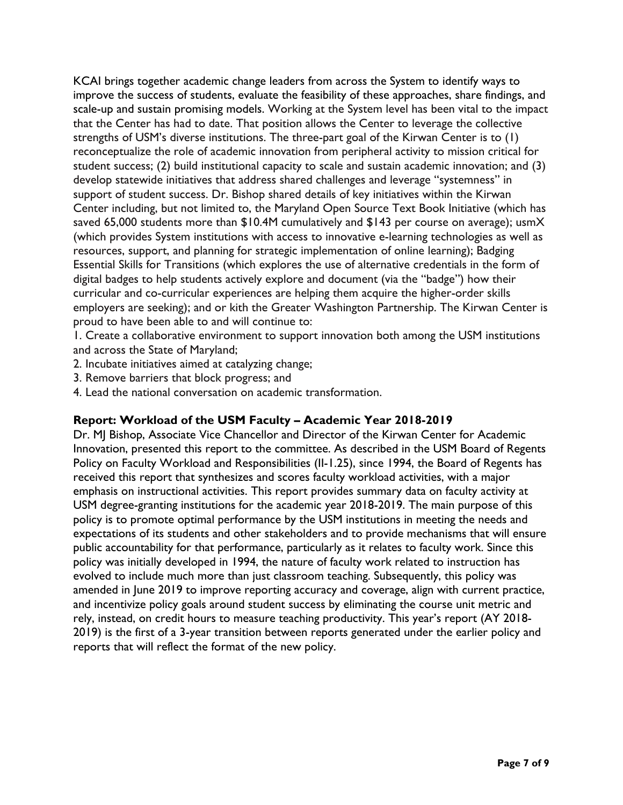KCAI brings together academic change leaders from across the System to identify ways to improve the success of students, evaluate the feasibility of these approaches, share findings, and scale-up and sustain promising models. Working at the System level has been vital to the impact that the Center has had to date. That position allows the Center to leverage the collective strengths of USM's diverse institutions. The three-part goal of the Kirwan Center is to (1) reconceptualize the role of academic innovation from peripheral activity to mission critical for student success; (2) build institutional capacity to scale and sustain academic innovation; and (3) develop statewide initiatives that address shared challenges and leverage "systemness" in support of student success. Dr. Bishop shared details of key initiatives within the Kirwan Center including, but not limited to, the Maryland Open Source Text Book Initiative (which has saved 65,000 students more than \$10.4M cumulatively and \$143 per course on average); usmX (which provides System institutions with access to innovative e-learning technologies as well as resources, support, and planning for strategic implementation of online learning); Badging Essential Skills for Transitions (which explores the use of alternative credentials in the form of digital badges to help students actively explore and document (via the "badge") how their curricular and co-curricular experiences are helping them acquire the higher-order skills employers are seeking); and or kith the Greater Washington Partnership. The Kirwan Center is proud to have been able to and will continue to:

1. Create a collaborative environment to support innovation both among the USM institutions and across the State of Maryland;

- 2. Incubate initiatives aimed at catalyzing change;
- 3. Remove barriers that block progress; and
- 4. Lead the national conversation on academic transformation.

## **Report: Workload of the USM Faculty – Academic Year 2018-2019**

Dr. MJ Bishop, Associate Vice Chancellor and Director of the Kirwan Center for Academic Innovation, presented this report to the committee. As described in the USM Board of Regents Policy on Faculty Workload and Responsibilities (II-1.25), since 1994, the Board of Regents has received this report that synthesizes and scores faculty workload activities, with a major emphasis on instructional activities. This report provides summary data on faculty activity at USM degree-granting institutions for the academic year 2018-2019. The main purpose of this policy is to promote optimal performance by the USM institutions in meeting the needs and expectations of its students and other stakeholders and to provide mechanisms that will ensure public accountability for that performance, particularly as it relates to faculty work. Since this policy was initially developed in 1994, the nature of faculty work related to instruction has evolved to include much more than just classroom teaching. Subsequently, this policy was amended in June 2019 to improve reporting accuracy and coverage, align with current practice, and incentivize policy goals around student success by eliminating the course unit metric and rely, instead, on credit hours to measure teaching productivity. This year's report (AY 2018- 2019) is the first of a 3-year transition between reports generated under the earlier policy and reports that will reflect the format of the new policy.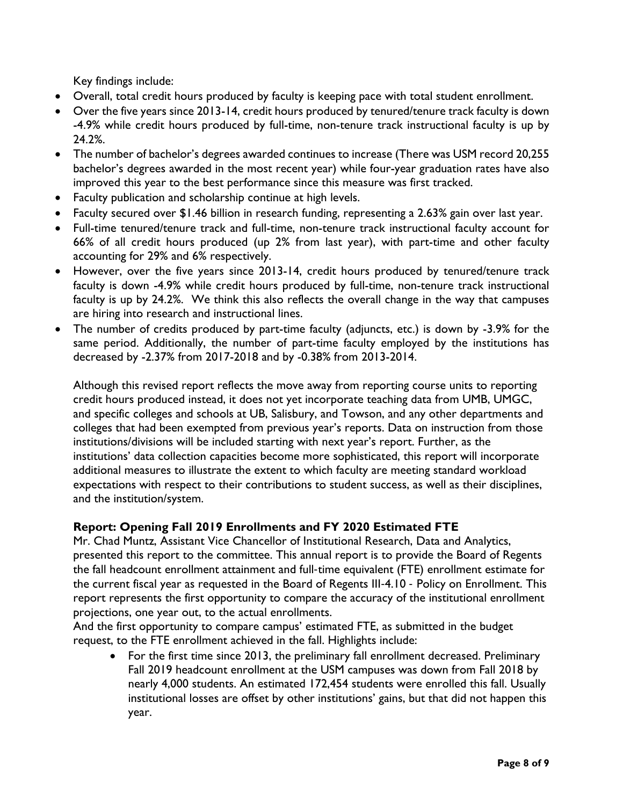Key findings include:

- Overall, total credit hours produced by faculty is keeping pace with total student enrollment.
- Over the five years since 2013-14, credit hours produced by tenured/tenure track faculty is down -4.9% while credit hours produced by full-time, non-tenure track instructional faculty is up by 24.2%.
- The number of bachelor's degrees awarded continues to increase (There was USM record 20,255 bachelor's degrees awarded in the most recent year) while four-year graduation rates have also improved this year to the best performance since this measure was first tracked.
- Faculty publication and scholarship continue at high levels.
- Faculty secured over \$1.46 billion in research funding, representing a 2.63% gain over last year.
- Full-time tenured/tenure track and full-time, non-tenure track instructional faculty account for 66% of all credit hours produced (up 2% from last year), with part-time and other faculty accounting for 29% and 6% respectively.
- However, over the five years since 2013-14, credit hours produced by tenured/tenure track faculty is down -4.9% while credit hours produced by full-time, non-tenure track instructional faculty is up by 24.2%. We think this also reflects the overall change in the way that campuses are hiring into research and instructional lines.
- The number of credits produced by part-time faculty (adjuncts, etc.) is down by -3.9% for the same period. Additionally, the number of part-time faculty employed by the institutions has decreased by -2.37% from 2017-2018 and by -0.38% from 2013-2014.

Although this revised report reflects the move away from reporting course units to reporting credit hours produced instead, it does not yet incorporate teaching data from UMB, UMGC, and specific colleges and schools at UB, Salisbury, and Towson, and any other departments and colleges that had been exempted from previous year's reports. Data on instruction from those institutions/divisions will be included starting with next year's report. Further, as the institutions' data collection capacities become more sophisticated, this report will incorporate additional measures to illustrate the extent to which faculty are meeting standard workload expectations with respect to their contributions to student success, as well as their disciplines, and the institution/system.

# **Report: Opening Fall 2019 Enrollments and FY 2020 Estimated FTE**

Mr. Chad Muntz, Assistant Vice Chancellor of Institutional Research, Data and Analytics, presented this report to the committee. This annual report is to provide the Board of Regents the fall headcount enrollment attainment and full-time equivalent (FTE) enrollment estimate for the current fiscal year as requested in the Board of Regents III-4.10 - Policy on Enrollment. This report represents the first opportunity to compare the accuracy of the institutional enrollment projections, one year out, to the actual enrollments.

And the first opportunity to compare campus' estimated FTE, as submitted in the budget request, to the FTE enrollment achieved in the fall. Highlights include:

• For the first time since 2013, the preliminary fall enrollment decreased. Preliminary Fall 2019 headcount enrollment at the USM campuses was down from Fall 2018 by nearly 4,000 students. An estimated 172,454 students were enrolled this fall. Usually institutional losses are offset by other institutions' gains, but that did not happen this year.